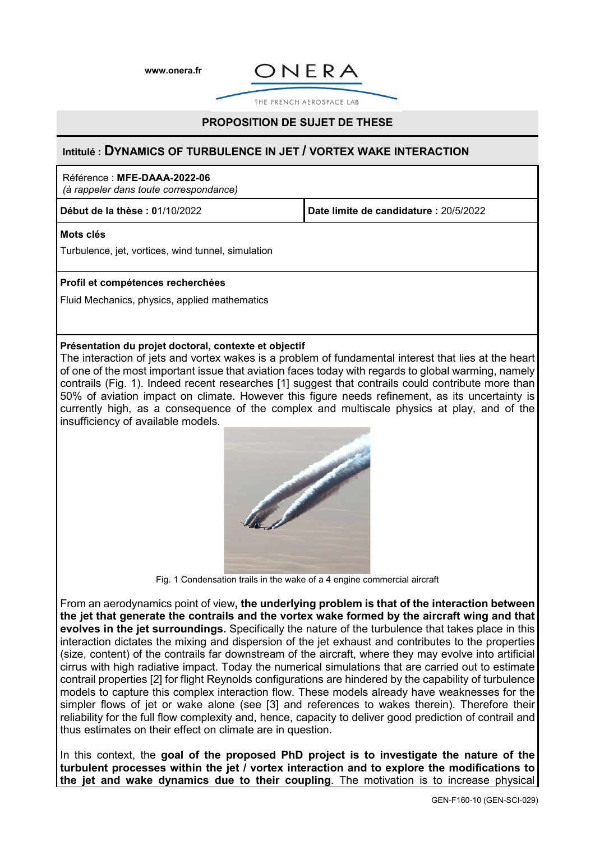**[www.onera.fr](http://www.onera.fr/)**



THE FRENCH AFROSPACE LAR

# **PROPOSITION DE SUJET DE THESE**

## **Intitulé : DYNAMICS OF TURBULENCE IN JET / VORTEX WAKE INTERACTION**

## Référence : **MFE-DAAA-2022-06**

*(à rappeler dans toute correspondance)*

**Début de la thèse : 0**1/10/2022 **Date limite de candidature :** 20/5/2022

## **Mots clés**

Turbulence, jet, vortices, wind tunnel, simulation

#### **Profil et compétences recherchées**

Fluid Mechanics, physics, applied mathematics

#### **Présentation du projet doctoral, contexte et objectif**

The interaction of jets and vortex wakes is a problem of fundamental interest that lies at the heart of one of the most important issue that aviation faces today with regards to global warming, namely contrails (Fig. 1). Indeed recent researches [1] suggest that contrails could contribute more than 50% of aviation impact on climate. However this figure needs refinement, as its uncertainty is currently high, as a consequence of the complex and multiscale physics at play, and of the insufficiency of available models.



Fig. 1 Condensation trails in the wake of a 4 engine commercial aircraft

From an aerodynamics point of view**, the underlying problem is that of the interaction between the jet that generate the contrails and the vortex wake formed by the aircraft wing and that evolves in the jet surroundings.** Specifically the nature of the turbulence that takes place in this interaction dictates the mixing and dispersion of the jet exhaust and contributes to the properties (size, content) of the contrails far downstream of the aircraft, where they may evolve into artificial cirrus with high radiative impact. Today the numerical simulations that are carried out to estimate contrail properties [2] for flight Reynolds configurations are hindered by the capability of turbulence models to capture this complex interaction flow. These models already have weaknesses for the simpler flows of jet or wake alone (see [3] and references to wakes therein). Therefore their reliability for the full flow complexity and, hence, capacity to deliver good prediction of contrail and thus estimates on their effect on climate are in question.

In this context, the **goal of the proposed PhD project is to investigate the nature of the turbulent processes within the jet / vortex interaction and to explore the modifications to the jet and wake dynamics due to their coupling**. The motivation is to increase physical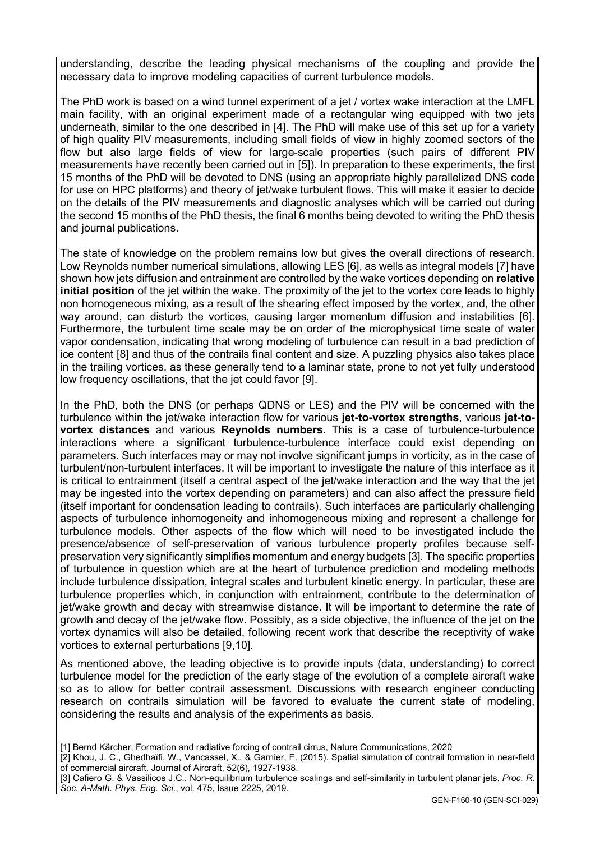understanding, describe the leading physical mechanisms of the coupling and provide the necessary data to improve modeling capacities of current turbulence models.

The PhD work is based on a wind tunnel experiment of a jet / vortex wake interaction at the LMFL main facility, with an original experiment made of a rectangular wing equipped with two jets underneath, similar to the one described in [4]. The PhD will make use of this set up for a variety of high quality PIV measurements, including small fields of view in highly zoomed sectors of the flow but also large fields of view for large-scale properties (such pairs of different PIV measurements have recently been carried out in [5]). In preparation to these experiments, the first 15 months of the PhD will be devoted to DNS (using an appropriate highly parallelized DNS code for use on HPC platforms) and theory of jet/wake turbulent flows. This will make it easier to decide on the details of the PIV measurements and diagnostic analyses which will be carried out during the second 15 months of the PhD thesis, the final 6 months being devoted to writing the PhD thesis and journal publications.

The state of knowledge on the problem remains low but gives the overall directions of research. Low Reynolds number numerical simulations, allowing LES [6], as wells as integral models [7] have shown how jets diffusion and entrainment are controlled by the wake vortices depending on **relative initial position** of the jet within the wake. The proximity of the jet to the vortex core leads to highly non homogeneous mixing, as a result of the shearing effect imposed by the vortex, and, the other way around, can disturb the vortices, causing larger momentum diffusion and instabilities [6]. Furthermore, the turbulent time scale may be on order of the microphysical time scale of water vapor condensation, indicating that wrong modeling of turbulence can result in a bad prediction of ice content [8] and thus of the contrails final content and size. A puzzling physics also takes place in the trailing vortices, as these generally tend to a laminar state, prone to not yet fully understood low frequency oscillations, that the jet could favor [9].

In the PhD, both the DNS (or perhaps QDNS or LES) and the PIV will be concerned with the turbulence within the jet/wake interaction flow for various **jet-to-vortex strengths**, various **jet-tovortex distances** and various **Reynolds numbers**. This is a case of turbulence-turbulence interactions where a significant turbulence-turbulence interface could exist depending on parameters. Such interfaces may or may not involve significant jumps in vorticity, as in the case of turbulent/non-turbulent interfaces. It will be important to investigate the nature of this interface as it is critical to entrainment (itself a central aspect of the jet/wake interaction and the way that the jet may be ingested into the vortex depending on parameters) and can also affect the pressure field (itself important for condensation leading to contrails). Such interfaces are particularly challenging aspects of turbulence inhomogeneity and inhomogeneous mixing and represent a challenge for turbulence models. Other aspects of the flow which will need to be investigated include the presence/absence of self-preservation of various turbulence property profiles because selfpreservation very significantly simplifies momentum and energy budgets [3]. The specific properties of turbulence in question which are at the heart of turbulence prediction and modeling methods include turbulence dissipation, integral scales and turbulent kinetic energy. In particular, these are turbulence properties which, in conjunction with entrainment, contribute to the determination of jet/wake growth and decay with streamwise distance. It will be important to determine the rate of growth and decay of the jet/wake flow. Possibly, as a side objective, the influence of the jet on the vortex dynamics will also be detailed, following recent work that describe the receptivity of wake vortices to external perturbations [9,10].

As mentioned above, the leading objective is to provide inputs (data, understanding) to correct turbulence model for the prediction of the early stage of the evolution of a complete aircraft wake so as to allow for better contrail assessment. Discussions with research engineer conducting research on contrails simulation will be favored to evaluate the current state of modeling, considering the results and analysis of the experiments as basis.

- [1] Bernd Kärcher, Formation and radiative forcing of contrail cirrus, Nature Communications, 2020
- [2] Khou, J. C., Ghedhaïfi, W., Vancassel, X., & Garnier, F. (2015). Spatial simulation of contrail formation in near-field of commercial aircraft. Journal of Aircraft, 52(6), 1927-1938.

<sup>[3]</sup> Cafiero G. & Vassilicos J.C., Non-equilibrium turbulence scalings and self-similarity in turbulent planar jets, *Proc. R. Soc. A-Math. Phys. Eng. Sci.*, vol. 475, Issue 2225, 2019.